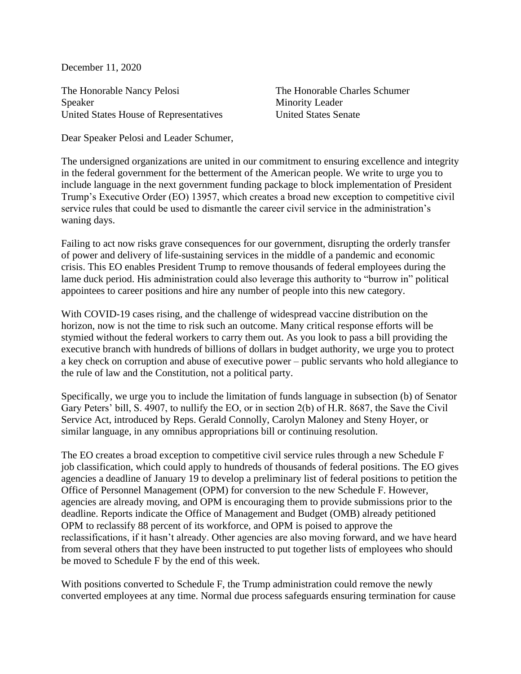December 11, 2020

The Honorable Nancy Pelosi Speaker United States House of Representatives The Honorable Charles Schumer Minority Leader United States Senate

Dear Speaker Pelosi and Leader Schumer,

The undersigned organizations are united in our commitment to ensuring excellence and integrity in the federal government for the betterment of the American people. We write to urge you to include language in the next government funding package to block implementation of President Trump's Executive Order (EO) 13957, which creates a broad new exception to competitive civil service rules that could be used to dismantle the career civil service in the administration's waning days.

Failing to act now risks grave consequences for our government, disrupting the orderly transfer of power and delivery of life-sustaining services in the middle of a pandemic and economic crisis. This EO enables President Trump to remove thousands of federal employees during the lame duck period. His administration could also leverage this authority to "burrow in" political appointees to career positions and hire any number of people into this new category.

With COVID-19 cases rising, and the challenge of widespread vaccine distribution on the horizon, now is not the time to risk such an outcome. Many critical response efforts will be stymied without the federal workers to carry them out. As you look to pass a bill providing the executive branch with hundreds of billions of dollars in budget authority, we urge you to protect a key check on corruption and abuse of executive power – public servants who hold allegiance to the rule of law and the Constitution, not a political party.

Specifically, we urge you to include the limitation of funds language in subsection (b) of Senator Gary Peters' bill, S. 4907, to nullify the EO, or in section 2(b) of H.R. 8687, the Save the Civil Service Act, introduced by Reps. Gerald Connolly, Carolyn Maloney and Steny Hoyer, or similar language, in any omnibus appropriations bill or continuing resolution.

The EO creates a broad exception to competitive civil service rules through a new Schedule F job classification, which could apply to hundreds of thousands of federal positions. The EO gives agencies a deadline of January 19 to develop a preliminary list of federal positions to petition the Office of Personnel Management (OPM) for conversion to the new Schedule F. However, agencies are already moving, and OPM is encouraging them to provide submissions prior to the deadline. Reports indicate the Office of Management and Budget (OMB) already petitioned OPM to reclassify 88 percent of its workforce, and OPM is poised to approve the reclassifications, if it hasn't already. Other agencies are also moving forward, and we have heard from several others that they have been instructed to put together lists of employees who should be moved to Schedule F by the end of this week.

With positions converted to Schedule F, the Trump administration could remove the newly converted employees at any time. Normal due process safeguards ensuring termination for cause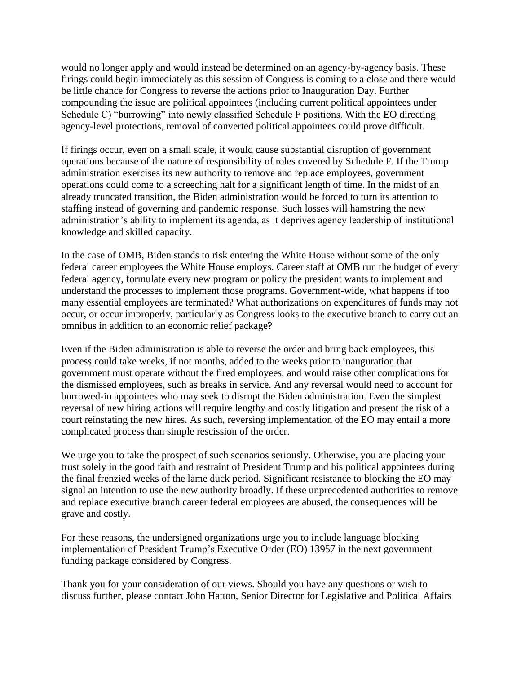would no longer apply and would instead be determined on an agency-by-agency basis. These firings could begin immediately as this session of Congress is coming to a close and there would be little chance for Congress to reverse the actions prior to Inauguration Day. Further compounding the issue are political appointees (including current political appointees under Schedule C) "burrowing" into newly classified Schedule F positions. With the EO directing agency-level protections, removal of converted political appointees could prove difficult.

If firings occur, even on a small scale, it would cause substantial disruption of government operations because of the nature of responsibility of roles covered by Schedule F. If the Trump administration exercises its new authority to remove and replace employees, government operations could come to a screeching halt for a significant length of time. In the midst of an already truncated transition, the Biden administration would be forced to turn its attention to staffing instead of governing and pandemic response. Such losses will hamstring the new administration's ability to implement its agenda, as it deprives agency leadership of institutional knowledge and skilled capacity.

In the case of OMB, Biden stands to risk entering the White House without some of the only federal career employees the White House employs. Career staff at OMB run the budget of every federal agency, formulate every new program or policy the president wants to implement and understand the processes to implement those programs. Government-wide, what happens if too many essential employees are terminated? What authorizations on expenditures of funds may not occur, or occur improperly, particularly as Congress looks to the executive branch to carry out an omnibus in addition to an economic relief package?

Even if the Biden administration is able to reverse the order and bring back employees, this process could take weeks, if not months, added to the weeks prior to inauguration that government must operate without the fired employees, and would raise other complications for the dismissed employees, such as breaks in service. And any reversal would need to account for burrowed-in appointees who may seek to disrupt the Biden administration. Even the simplest reversal of new hiring actions will require lengthy and costly litigation and present the risk of a court reinstating the new hires. As such, reversing implementation of the EO may entail a more complicated process than simple rescission of the order.

We urge you to take the prospect of such scenarios seriously. Otherwise, you are placing your trust solely in the good faith and restraint of President Trump and his political appointees during the final frenzied weeks of the lame duck period. Significant resistance to blocking the EO may signal an intention to use the new authority broadly. If these unprecedented authorities to remove and replace executive branch career federal employees are abused, the consequences will be grave and costly.

For these reasons, the undersigned organizations urge you to include language blocking implementation of President Trump's Executive Order (EO) 13957 in the next government funding package considered by Congress.

Thank you for your consideration of our views. Should you have any questions or wish to discuss further, please contact John Hatton, Senior Director for Legislative and Political Affairs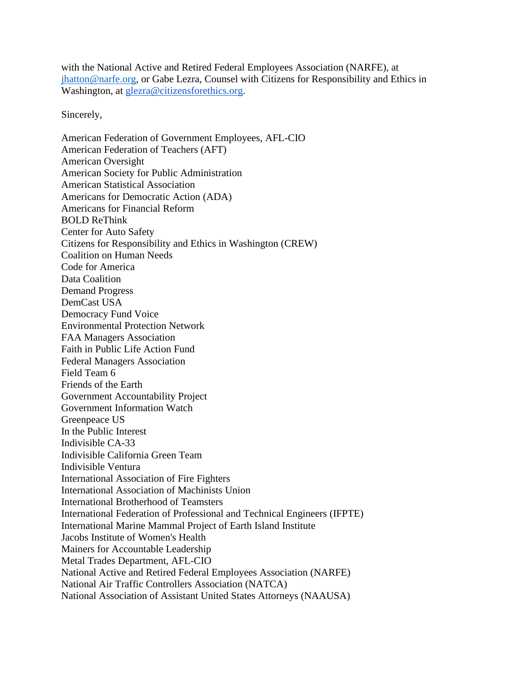with the National Active and Retired Federal Employees Association (NARFE), at [jhatton@narfe.org,](mailto:jhatton@narfe.org) or Gabe Lezra, Counsel with Citizens for Responsibility and Ethics in Washington, at [glezra@citizensforethics.org.](mailto:glezra@citizensforethics.org)

Sincerely,

American Federation of Government Employees, AFL-CIO American Federation of Teachers (AFT) American Oversight American Society for Public Administration American Statistical Association Americans for Democratic Action (ADA) Americans for Financial Reform BOLD ReThink Center for Auto Safety Citizens for Responsibility and Ethics in Washington (CREW) Coalition on Human Needs Code for America Data Coalition Demand Progress DemCast USA Democracy Fund Voice Environmental Protection Network FAA Managers Association Faith in Public Life Action Fund Federal Managers Association Field Team 6 Friends of the Earth Government Accountability Project Government Information Watch Greenpeace US In the Public Interest Indivisible CA-33 Indivisible California Green Team Indivisible Ventura International Association of Fire Fighters International Association of Machinists Union International Brotherhood of Teamsters International Federation of Professional and Technical Engineers (IFPTE) International Marine Mammal Project of Earth Island Institute Jacobs Institute of Women's Health Mainers for Accountable Leadership Metal Trades Department, AFL-CIO National Active and Retired Federal Employees Association (NARFE) National Air Traffic Controllers Association (NATCA) National Association of Assistant United States Attorneys (NAAUSA)